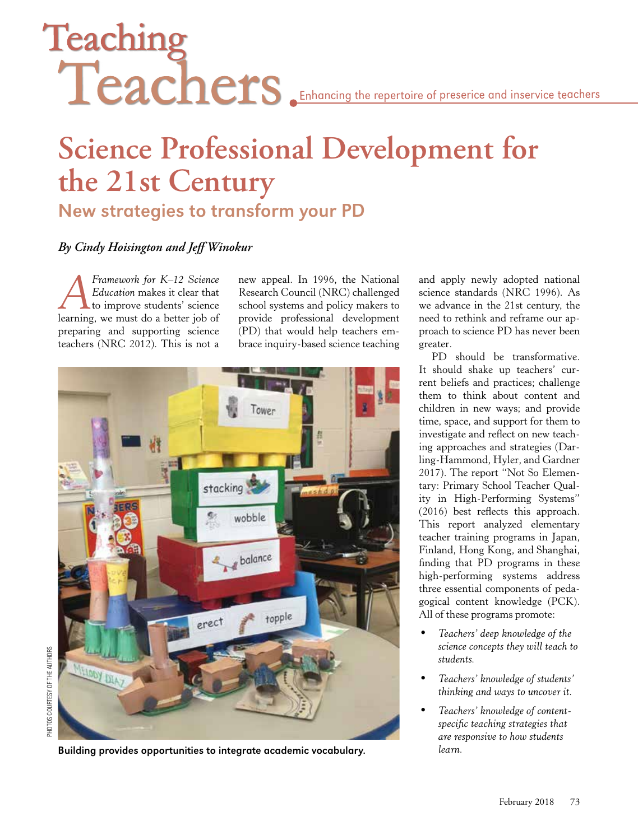# Teaching Teachers Enhancing the repertoire of preserice and inservice teachers

# **Science Professional Development for the 21st Century** New strategies to transform your PD

### *By Cindy Hoisington and Jeff Winokur*

*AFramework for K–12 Science Education* makes it clear that to improve students' science learning, we must do a better job of preparing and supporting science teachers (NRC 2012). This is not a

new appeal. In 1996, the National Research Council (NRC) challenged school systems and policy makers to provide professional development (PD) that would help teachers embrace inquiry-based science teaching



Building provides opportunities to integrate academic vocabulary. *learn.*

and apply newly adopted national science standards (NRC 1996). As we advance in the 21st century, the need to rethink and reframe our approach to science PD has never been greater.

PD should be transformative. It should shake up teachers' current beliefs and practices; challenge them to think about content and children in new ways; and provide time, space, and support for them to investigate and reflect on new teaching approaches and strategies (Darling-Hammond, Hyler, and Gardner 2017). The report "Not So Elementary: Primary School Teacher Quality in High-Performing Systems" (2016) best reflects this approach. This report analyzed elementary teacher training programs in Japan, Finland, Hong Kong, and Shanghai, finding that PD programs in these high-performing systems address three essential components of pedagogical content knowledge (PCK). All of these programs promote:

- *Teachers' deep knowledge of the science concepts they will teach to students.*
- *Teachers' knowledge of students' thinking and ways to uncover it.*
- *Teachers' knowledge of contentspecific teaching strategies that are responsive to how students*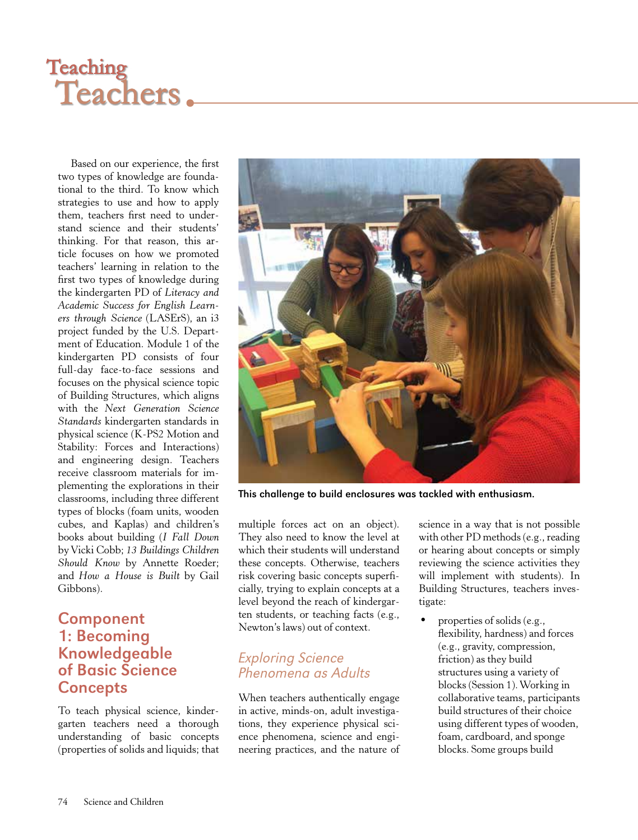# Teaching<br>Teachers.

Based on our experience, the first two types of knowledge are foundational to the third. To know which strategies to use and how to apply them, teachers first need to understand science and their students' thinking. For that reason, this article focuses on how we promoted teachers' learning in relation to the first two types of knowledge during the kindergarten PD of *Literacy and Academic Success for English Learners through Science* (LASErS), an i3 project funded by the U.S. Department of Education. Module 1 of the kindergarten PD consists of four full-day face-to-face sessions and focuses on the physical science topic of Building Structures, which aligns with the *Next Generation Science Standards* kindergarten standards in physical science (K-PS2 Motion and Stability: Forces and Interactions) and engineering design. Teachers receive classroom materials for implementing the explorations in their classrooms, including three different types of blocks (foam units, wooden cubes, and Kaplas) and children's books about building (*I Fall Down* by Vicki Cobb; *13 Buildings Children Should Know* by Annette Roeder; and *How a House is Built* by Gail Gibbons).

### Component 1: Becoming Knowledgeable of Basic Science **Concepts**

To teach physical science, kindergarten teachers need a thorough understanding of basic concepts (properties of solids and liquids; that



This challenge to build enclosures was tackled with enthusiasm.

multiple forces act on an object). They also need to know the level at which their students will understand these concepts. Otherwise, teachers risk covering basic concepts superficially, trying to explain concepts at a level beyond the reach of kindergarten students, or teaching facts (e.g., Newton's laws) out of context.

### Exploring Science Phenomena as Adults

When teachers authentically engage in active, minds-on, adult investigations, they experience physical science phenomena, science and engineering practices, and the nature of science in a way that is not possible with other PD methods (e.g., reading or hearing about concepts or simply reviewing the science activities they will implement with students). In Building Structures, teachers investigate:

• properties of solids (e.g., flexibility, hardness) and forces (e.g., gravity, compression, friction) as they build structures using a variety of blocks (Session 1). Working in collaborative teams, participants build structures of their choice using different types of wooden, foam, cardboard, and sponge blocks. Some groups build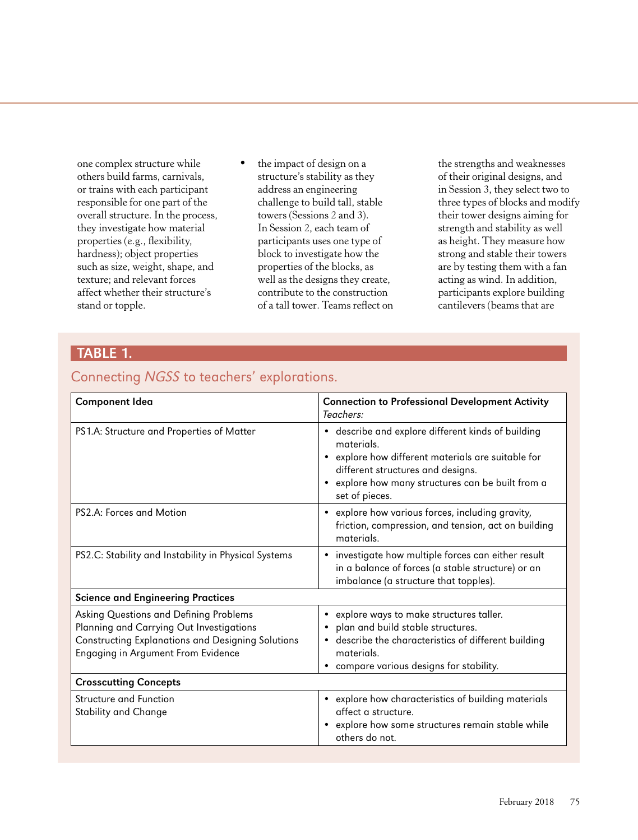one complex structure while others build farms, carnivals, or trains with each participant responsible for one part of the overall structure. In the process, they investigate how material properties (e.g., flexibility, hardness); object properties such as size, weight, shape, and texture; and relevant forces affect whether their structure's stand or topple.

the impact of design on a structure's stability as they address an engineering challenge to build tall, stable towers (Sessions 2 and 3). In Session 2, each team of participants uses one type of block to investigate how the properties of the blocks, as well as the designs they create, contribute to the construction of a tall tower. Teams reflect on

the strengths and weaknesses of their original designs, and in Session 3, they select two to three types of blocks and modify their tower designs aiming for strength and stability as well as height. They measure how strong and stable their towers are by testing them with a fan acting as wind. In addition, participants explore building cantilevers (beams that are

### TABLE 1.

### Connecting NGSS to teachers' explorations.

| <b>Component Idea</b>                                                                                                                                                         | <b>Connection to Professional Development Activity</b><br>Teachers:                                                                                                                                                                         |  |  |
|-------------------------------------------------------------------------------------------------------------------------------------------------------------------------------|---------------------------------------------------------------------------------------------------------------------------------------------------------------------------------------------------------------------------------------------|--|--|
| PS1.A: Structure and Properties of Matter                                                                                                                                     | • describe and explore different kinds of building<br>materials.<br>explore how different materials are suitable for<br>$\bullet$<br>different structures and designs.<br>explore how many structures can be built from a<br>set of pieces. |  |  |
| PS2.A: Forces and Motion                                                                                                                                                      | explore how various forces, including gravity,<br>$\bullet$<br>friction, compression, and tension, act on building<br>materials.                                                                                                            |  |  |
| PS2.C: Stability and Instability in Physical Systems                                                                                                                          | investigate how multiple forces can either result<br>$\bullet$<br>in a balance of forces (a stable structure) or an<br>imbalance (a structure that topples).                                                                                |  |  |
| <b>Science and Engineering Practices</b>                                                                                                                                      |                                                                                                                                                                                                                                             |  |  |
| Asking Questions and Defining Problems<br>Planning and Carrying Out Investigations<br>Constructing Explanations and Designing Solutions<br>Engaging in Argument From Evidence | explore ways to make structures taller.<br>٠<br>plan and build stable structures.<br>describe the characteristics of different building<br>$\bullet$<br>materials.<br>compare various designs for stability.                                |  |  |
| <b>Crosscutting Concepts</b>                                                                                                                                                  |                                                                                                                                                                                                                                             |  |  |
| <b>Structure and Function</b><br><b>Stability and Change</b>                                                                                                                  | explore how characteristics of building materials<br>$\bullet$<br>affect a structure.<br>explore how some structures remain stable while<br>others do not.                                                                                  |  |  |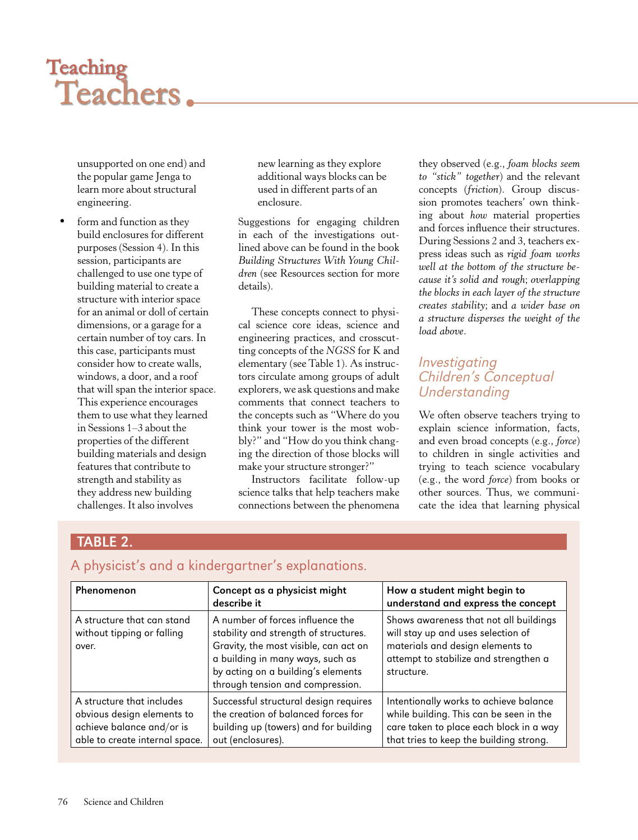# Teaching<br>Teachers.

unsupported on one end) and the popular game Jenga to learn more about structural engineering.

form and function as they build enclosures for different purposes (Session 4). In this session, participants are challenged to use one type of building material to create a structure with interior space for an animal or doll of certain dimensions, or a garage for a certain number of toy cars. In this case, participants must consider how to create walls, windows, a door, and a roof that will span the interior space. This experience encourages them to use what they learned in Sessions 1–3 about the properties of the different building materials and design features that contribute to strength and stability as they address new building challenges. It also involves

new learning as they explore additional ways blocks can be used in different parts of an enclosure.

Suggestions for engaging children in each of the investigations outlined above can be found in the book *Building Structures With Young Children* (see Resources section for more details).

These concepts connect to physical science core ideas, science and engineering practices, and crosscutting concepts of the *NGSS* for K and elementary (see Table 1). As instructors circulate among groups of adult explorers, we ask questions and make comments that connect teachers to the concepts such as "Where do you think your tower is the most wobbly?" and "How do you think changing the direction of those blocks will make your structure stronger?"

Instructors facilitate follow-up science talks that help teachers make connections between the phenomena

they observed (e.g., *foam blocks seem to "stick" together*) and the relevant concepts (*friction*). Group discussion promotes teachers' own thinking about *how* material properties and forces influence their structures. During Sessions 2 and 3, teachers express ideas such as *rigid foam works well at the bottom of the structure because it's solid and rough*; *overlapping the blocks in each layer of the structure creates stability*; and *a wider base on a structure disperses the weight of the load above*.

### Investigating Children's Conceptual **Understanding**

We often observe teachers trying to explain science information, facts, and even broad concepts (e.g., *force*) to children in single activities and trying to teach science vocabulary (e.g., the word *force*) from books or other sources. Thus, we communicate the idea that learning physical

# TABLE 2.

## A physicist's and a kindergartner's explanations.

| Phenomenon                                                                                                             | Concept as a physicist might<br>describe it                                                                                                                                                                                      | How a student might begin to<br>understand and express the concept                                                                                                      |
|------------------------------------------------------------------------------------------------------------------------|----------------------------------------------------------------------------------------------------------------------------------------------------------------------------------------------------------------------------------|-------------------------------------------------------------------------------------------------------------------------------------------------------------------------|
| A structure that can stand<br>without tipping or falling<br>over.                                                      | A number of forces influence the<br>stability and strength of structures.<br>Gravity, the most visible, can act on<br>a building in many ways, such as<br>by acting on a building's elements<br>through tension and compression. | Shows awareness that not all buildings<br>will stay up and uses selection of<br>materials and design elements to<br>attempt to stabilize and strengthen a<br>structure. |
| A structure that includes<br>obvious design elements to<br>achieve balance and/or is<br>able to create internal space. | Successful structural design requires<br>the creation of balanced forces for<br>building up (towers) and for building<br>out (enclosures).                                                                                       | Intentionally works to achieve balance<br>while building. This can be seen in the<br>care taken to place each block in a way<br>that tries to keep the building strong. |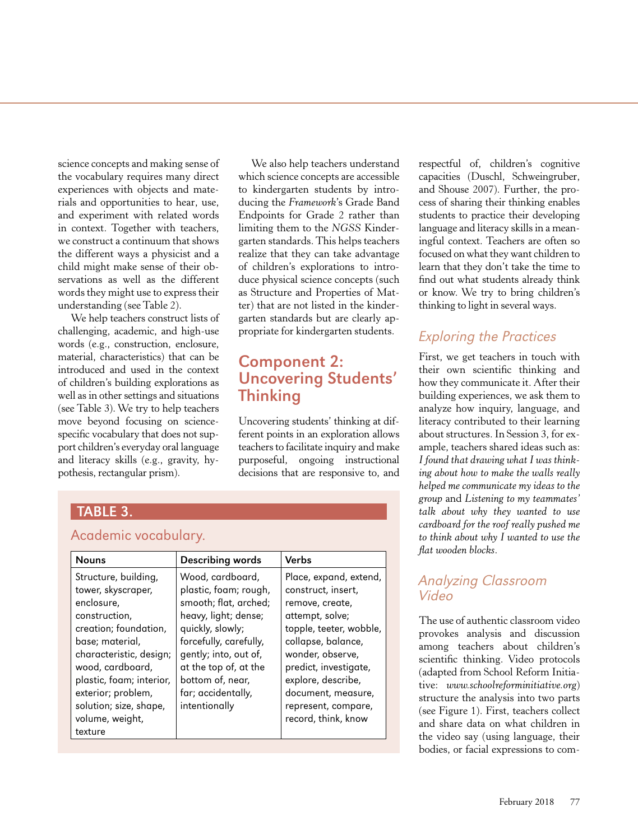science concepts and making sense of the vocabulary requires many direct experiences with objects and materials and opportunities to hear, use, and experiment with related words in context. Together with teachers, we construct a continuum that shows the different ways a physicist and a child might make sense of their observations as well as the different words they might use to express their understanding (see Table 2).

We help teachers construct lists of challenging, academic, and high-use words (e.g., construction, enclosure, material, characteristics) that can be introduced and used in the context of children's building explorations as well as in other settings and situations (see Table 3). We try to help teachers move beyond focusing on sciencespecific vocabulary that does not support children's everyday oral language and literacy skills (e.g., gravity, hypothesis, rectangular prism).

We also help teachers understand which science concepts are accessible to kindergarten students by introducing the *Framework*'s Grade Band Endpoints for Grade 2 rather than limiting them to the *NGSS* Kindergarten standards. This helps teachers realize that they can take advantage of children's explorations to introduce physical science concepts (such as Structure and Properties of Matter) that are not listed in the kindergarten standards but are clearly appropriate for kindergarten students.

# Component 2: Uncovering Students' Thinking

Uncovering students' thinking at different points in an exploration allows teachers to facilitate inquiry and make purposeful, ongoing instructional decisions that are responsive to, and

| <b>TABLE 3.</b>                                                                                                                                                                                                                                                                |                                                                                                                                                                                                                                                       |                                                                                                                                                                                                                                                                            |  |
|--------------------------------------------------------------------------------------------------------------------------------------------------------------------------------------------------------------------------------------------------------------------------------|-------------------------------------------------------------------------------------------------------------------------------------------------------------------------------------------------------------------------------------------------------|----------------------------------------------------------------------------------------------------------------------------------------------------------------------------------------------------------------------------------------------------------------------------|--|
| Academic vocabulary.                                                                                                                                                                                                                                                           |                                                                                                                                                                                                                                                       |                                                                                                                                                                                                                                                                            |  |
| <b>Nouns</b>                                                                                                                                                                                                                                                                   | Describing words                                                                                                                                                                                                                                      | Verbs                                                                                                                                                                                                                                                                      |  |
| Structure, building,<br>tower, skyscraper,<br>enclosure,<br>construction,<br>creation; foundation,<br>base; material,<br>characteristic, design;<br>wood, cardboard,<br>plastic, foam; interior,<br>exterior; problem,<br>solution; size, shape,<br>volume, weight,<br>texture | Wood, cardboard,<br>plastic, foam; rough,<br>smooth; flat, arched;<br>heavy, light; dense;<br>quickly, slowly;<br>forcefully, carefully,<br>gently; into, out of,<br>at the top of, at the<br>bottom of, near,<br>far; accidentally,<br>intentionally | Place, expand, extend,<br>construct, insert,<br>remove, create,<br>attempt, solve;<br>topple, teeter, wobble,<br>collapse, balance,<br>wonder, observe,<br>predict, investigate,<br>explore, describe,<br>document, measure,<br>represent, compare,<br>record, think, know |  |

respectful of, children's cognitive capacities (Duschl, Schweingruber, and Shouse 2007). Further, the process of sharing their thinking enables students to practice their developing language and literacy skills in a meaningful context. Teachers are often so focused on what they want children to learn that they don't take the time to find out what students already think or know. We try to bring children's thinking to light in several ways.

# Exploring the Practices

First, we get teachers in touch with their own scientific thinking and how they communicate it. After their building experiences, we ask them to analyze how inquiry, language, and literacy contributed to their learning about structures. In Session 3, for example, teachers shared ideas such as: *I found that drawing what I was thinking about how to make the walls really helped me communicate my ideas to the group* and *Listening to my teammates' talk about why they wanted to use cardboard for the roof really pushed me to think about why I wanted to use the flat wooden blocks*.

### Analyzing Classroom Video

The use of authentic classroom video provokes analysis and discussion among teachers about children's scientific thinking. Video protocols (adapted from School Reform Initiative: *www.schoolreforminitiative.org*) structure the analysis into two parts (see Figure 1). First, teachers collect and share data on what children in the video say (using language, their bodies, or facial expressions to com-

### February 2018 77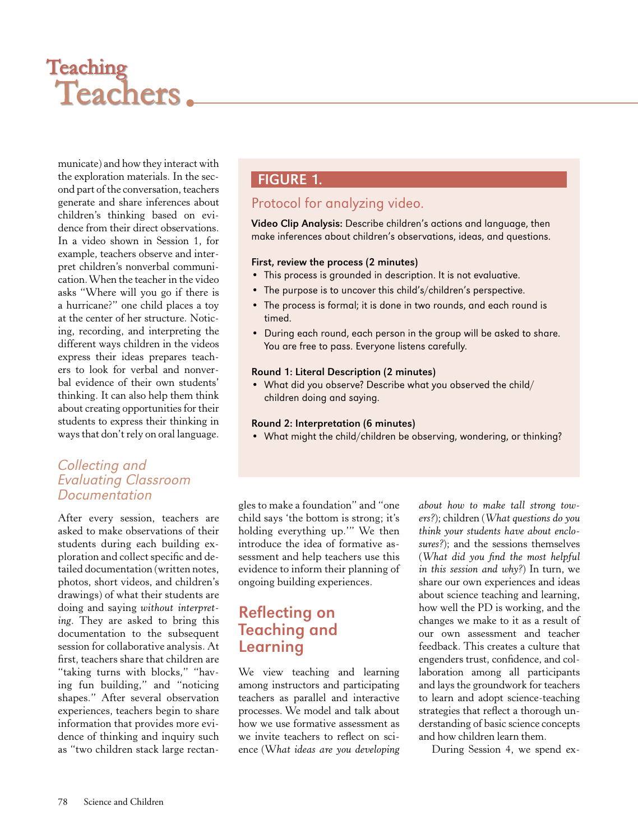# Teaching<br>Teachers.

municate) and how they interact with the exploration materials. In the second part of the conversation, teachers generate and share inferences about children's thinking based on evidence from their direct observations. In a video shown in Session 1, for example, teachers observe and interpret children's nonverbal communication. When the teacher in the video asks "Where will you go if there is a hurricane?" one child places a toy at the center of her structure. Noticing, recording, and interpreting the different ways children in the videos express their ideas prepares teachers to look for verbal and nonverbal evidence of their own students' thinking. It can also help them think about creating opportunities for their students to express their thinking in ways that don't rely on oral language.

### Collecting and Evaluating Classroom Documentation

After every session, teachers are asked to make observations of their students during each building exploration and collect specific and detailed documentation (written notes, photos, short videos, and children's drawings) of what their students are doing and saying *without interpreting*. They are asked to bring this documentation to the subsequent session for collaborative analysis. At first, teachers share that children are "taking turns with blocks," "having fun building," and "noticing shapes." After several observation experiences, teachers begin to share information that provides more evidence of thinking and inquiry such as "two children stack large rectan-

## **FIGURE 1.**

### Protocol for analyzing video.

Video Clip Analysis: Describe children's actions and language, then make inferences about children's observations, ideas, and questions.

### First, review the process (2 minutes)

- This process is grounded in description. It is not evaluative.
- The purpose is to uncover this child's/children's perspective.
- The process is formal; it is done in two rounds, and each round is timed.
- During each round, each person in the group will be asked to share. You are free to pass. Everyone listens carefully.

### Round 1: Literal Description (2 minutes)

• What did you observe? Describe what you observed the child/ children doing and saying.

#### Round 2: Interpretation (6 minutes)

• What might the child/children be observing, wondering, or thinking?

gles to make a foundation" and "one child says 'the bottom is strong; it's holding everything up.'" We then introduce the idea of formative assessment and help teachers use this evidence to inform their planning of ongoing building experiences.

# Reflecting on Teaching and Learning

We view teaching and learning among instructors and participating teachers as parallel and interactive processes. We model and talk about how we use formative assessment as we invite teachers to reflect on science (W*hat ideas are you developing*  *about how to make tall strong towers?*); children (*What questions do you think your students have about enclosures?*); and the sessions themselves (*What did you find the most helpful in this session and why?*) In turn, we share our own experiences and ideas about science teaching and learning, how well the PD is working, and the changes we make to it as a result of our own assessment and teacher feedback. This creates a culture that engenders trust, confidence, and collaboration among all participants and lays the groundwork for teachers to learn and adopt science-teaching strategies that reflect a thorough understanding of basic science concepts and how children learn them.

During Session 4, we spend ex-